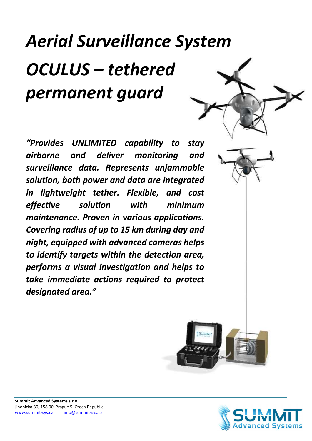## Aerial Surveillance System OCULUS – tethered permanent guard

"Provides UNLIMITED capability to stay airborne and deliver monitoring and surveillance data. Represents unjammable solution, both power and data are integrated in lightweight tether. Flexible, and cost effective solution with minimum maintenance. Proven in various applications. Covering radius of up to 15 km during day and night, equipped with advanced cameras helps to identify targets within the detection area, performs a visual investigation and helps to take immediate actions required to protect designated area."